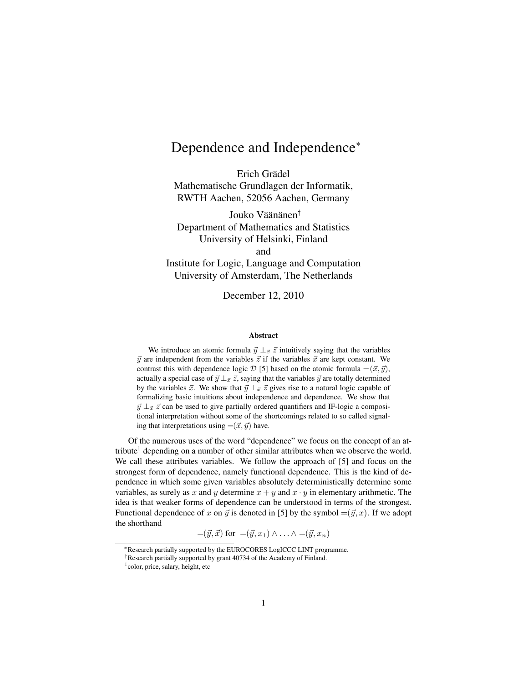## Dependence and Independence<sup>∗</sup>

Erich Grädel Mathematische Grundlagen der Informatik, RWTH Aachen, 52056 Aachen, Germany

Jouko Väänänen<sup>†</sup> Department of Mathematics and Statistics University of Helsinki, Finland and Institute for Logic, Language and Computation University of Amsterdam, The Netherlands

December 12, 2010

## Abstract

We introduce an atomic formula  $\vec{y} \perp_{\vec{x}} \vec{z}$  intuitively saying that the variables  $\vec{y}$  are independent from the variables  $\vec{z}$  if the variables  $\vec{x}$  are kept constant. We contrast this with dependence logic D [5] based on the atomic formula =  $(\vec{x}, \vec{y})$ , actually a special case of  $\vec{y} \perp_{\vec{x}} \vec{z}$ , saying that the variables  $\vec{y}$  are totally determined by the variables  $\vec{x}$ . We show that  $\vec{y} \perp_{\vec{x}} \vec{z}$  gives rise to a natural logic capable of formalizing basic intuitions about independence and dependence. We show that  $\vec{y} \perp_{\vec{x}} \vec{z}$  can be used to give partially ordered quantifiers and IF-logic a compositional interpretation without some of the shortcomings related to so called signaling that interpretations using  $=({\vec x}, {\vec y})$  have.

Of the numerous uses of the word "dependence" we focus on the concept of an attribute<sup>1</sup> depending on a number of other similar attributes when we observe the world. We call these attributes variables. We follow the approach of [5] and focus on the strongest form of dependence, namely functional dependence. This is the kind of dependence in which some given variables absolutely deterministically determine some variables, as surely as x and y determine  $x + y$  and  $x \cdot y$  in elementary arithmetic. The idea is that weaker forms of dependence can be understood in terms of the strongest. Functional dependence of x on  $\vec{y}$  is denoted in [5] by the symbol  $=(\vec{y}, x)$ . If we adopt the shorthand

$$
=(\vec{y},\vec{x}) \text{ for } =(\vec{y},x_1) \wedge \ldots \wedge =(\vec{y},x_n)
$$

<sup>∗</sup>Research partially supported by the EUROCORES LogICCC LINT programme.

<sup>†</sup>Research partially supported by grant 40734 of the Academy of Finland.

<sup>1</sup> color, price, salary, height, etc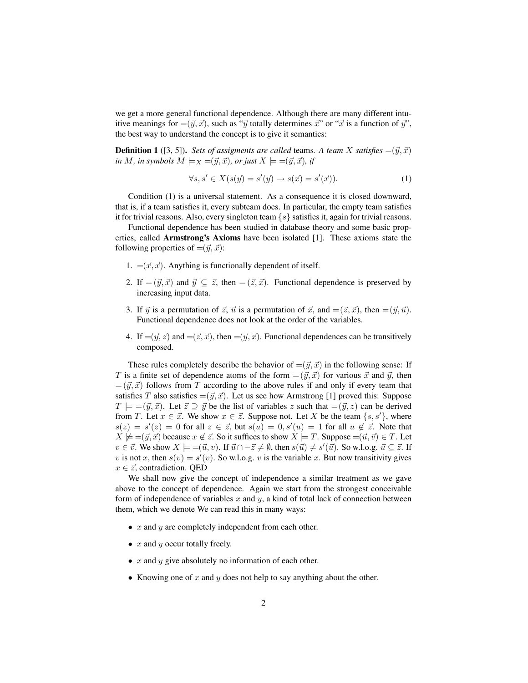we get a more general functional dependence. Although there are many different intuitive meanings for  $=(\vec{y}, \vec{x})$ , such as " $\vec{y}$  totally determines  $\vec{x}$ " or " $\vec{x}$  is a function of  $\vec{y}$ ", the best way to understand the concept is to give it semantics:

**Definition 1** ([3, 5]). *Sets of assigments are called* teams. A *team* X *satisfies* =( $\vec{y}, \vec{x}$ ) *in M, in symbols*  $M \models_X = (\vec{y}, \vec{x})$ *, or just*  $X \models = (\vec{y}, \vec{x})$ *, if* 

$$
\forall s, s' \in X(s(\vec{y}) = s'(\vec{y}) \to s(\vec{x}) = s'(\vec{x})).\tag{1}
$$

Condition (1) is a universal statement. As a consequence it is closed downward, that is, if a team satisfies it, every subteam does. In particular, the empty team satisfies it for trivial reasons. Also, every singleton team  $\{s\}$  satisfies it, again for trivial reasons.

Functional dependence has been studied in database theory and some basic properties, called Armstrong's Axioms have been isolated [1]. These axioms state the following properties of  $=({\vec y}, {\vec x})$ :

- 1.  $=({\vec x}, {\vec x})$ . Anything is functionally dependent of itself.
- 2. If  $= (\vec{y}, \vec{x})$  and  $\vec{y} \subseteq \vec{z}$ , then  $= (\vec{z}, \vec{x})$ . Functional dependence is preserved by increasing input data.
- 3. If  $\vec{y}$  is a permutation of  $\vec{z}$ ,  $\vec{u}$  is a permutation of  $\vec{x}$ , and  $=(\vec{z}, \vec{x})$ , then  $=(\vec{y}, \vec{u})$ . Functional dependence does not look at the order of the variables.
- 4. If  $=(\vec{y}, \vec{z})$  and  $=(\vec{z}, \vec{x})$ , then  $=(\vec{y}, \vec{x})$ . Functional dependences can be transitively composed.

These rules completely describe the behavior of  $=(\vec{y}, \vec{x})$  in the following sense: If T is a finite set of dependence atoms of the form  $= (\vec{y}, \vec{x})$  for various  $\vec{x}$  and  $\vec{y}$ , then  $=$   $(\vec{y}, \vec{x})$  follows from T according to the above rules if and only if every team that satisfies T also satisfies  $=(\vec{y}, \vec{x})$ . Let us see how Armstrong [1] proved this: Suppose  $T \models =(\vec{y}, \vec{x})$ . Let  $\vec{z} \supseteq \vec{y}$  be the list of variables z such that  $=(\vec{y}, z)$  can be derived from T. Let  $x \in \vec{x}$ . We show  $x \in \vec{z}$ . Suppose not. Let X be the team  $\{s, s'\}$ , where  $s(z) = s'(z) = 0$  for all  $z \in \overline{z}$ , but  $s(u) = 0, s'(u) = 1$  for all  $u \notin \overline{z}$ . Note that  $X \not\models =(\vec{y}, \vec{x})$  because  $x \not\in \vec{z}$ . So it suffices to show  $X \models T$ . Suppose  $=(\vec{u}, \vec{v}) \in T$ . Let  $v \in \vec{v}$ . We show  $X \models = (\vec{u}, v)$ . If  $\vec{u} \cap -\vec{z} \neq \emptyset$ , then  $s(\vec{u}) \neq s'(\vec{u})$ . So w.l.o.g.  $\vec{u} \subseteq \vec{z}$ . If v is not x, then  $s(v) = s'(v)$ . So w.l.o.g. v is the variable x. But now transitivity gives  $x \in \vec{z}$ , contradiction. QED

We shall now give the concept of independence a similar treatment as we gave above to the concept of dependence. Again we start from the strongest conceivable form of independence of variables  $x$  and  $y$ , a kind of total lack of connection between them, which we denote We can read this in many ways:

- $x$  and  $y$  are completely independent from each other.
- $x$  and  $y$  occur totally freely.
- $x$  and  $y$  give absolutely no information of each other.
- Knowing one of  $x$  and  $y$  does not help to say anything about the other.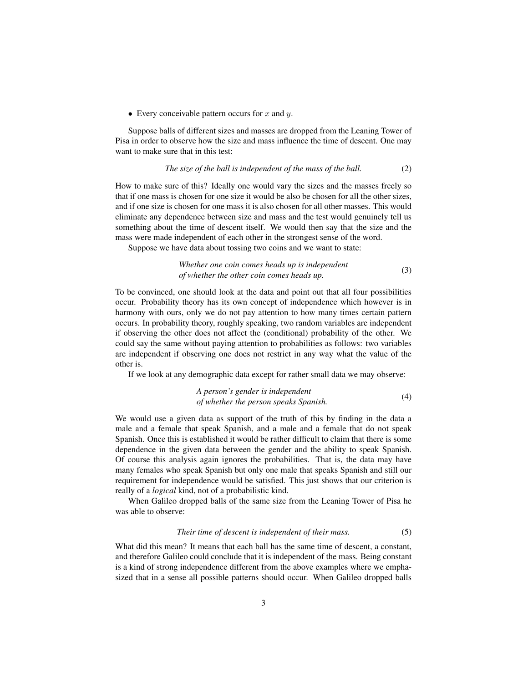• Every conceivable pattern occurs for  $x$  and  $y$ .

Suppose balls of different sizes and masses are dropped from the Leaning Tower of Pisa in order to observe how the size and mass influence the time of descent. One may want to make sure that in this test:

The size of the ball is independent of the mass of the ball. 
$$
(2)
$$

How to make sure of this? Ideally one would vary the sizes and the masses freely so that if one mass is chosen for one size it would be also be chosen for all the other sizes, and if one size is chosen for one mass it is also chosen for all other masses. This would eliminate any dependence between size and mass and the test would genuinely tell us something about the time of descent itself. We would then say that the size and the mass were made independent of each other in the strongest sense of the word.

Suppose we have data about tossing two coins and we want to state:

*Whether one coin comes heads up is independent of whether the other coin comes heads up.* (3)

To be convinced, one should look at the data and point out that all four possibilities occur. Probability theory has its own concept of independence which however is in harmony with ours, only we do not pay attention to how many times certain pattern occurs. In probability theory, roughly speaking, two random variables are independent if observing the other does not affect the (conditional) probability of the other. We could say the same without paying attention to probabilities as follows: two variables are independent if observing one does not restrict in any way what the value of the other is.

If we look at any demographic data except for rather small data we may observe:

*A person's gender is independent of whether the person speaks Spanish.* (4)

We would use a given data as support of the truth of this by finding in the data a male and a female that speak Spanish, and a male and a female that do not speak Spanish. Once this is established it would be rather difficult to claim that there is some dependence in the given data between the gender and the ability to speak Spanish. Of course this analysis again ignores the probabilities. That is, the data may have many females who speak Spanish but only one male that speaks Spanish and still our requirement for independence would be satisfied. This just shows that our criterion is really of a *logical* kind, not of a probabilistic kind.

When Galileo dropped balls of the same size from the Leaning Tower of Pisa he was able to observe:

## *Their time of descent is independent of their mass.* (5)

What did this mean? It means that each ball has the same time of descent, a constant, and therefore Galileo could conclude that it is independent of the mass. Being constant is a kind of strong independence different from the above examples where we emphasized that in a sense all possible patterns should occur. When Galileo dropped balls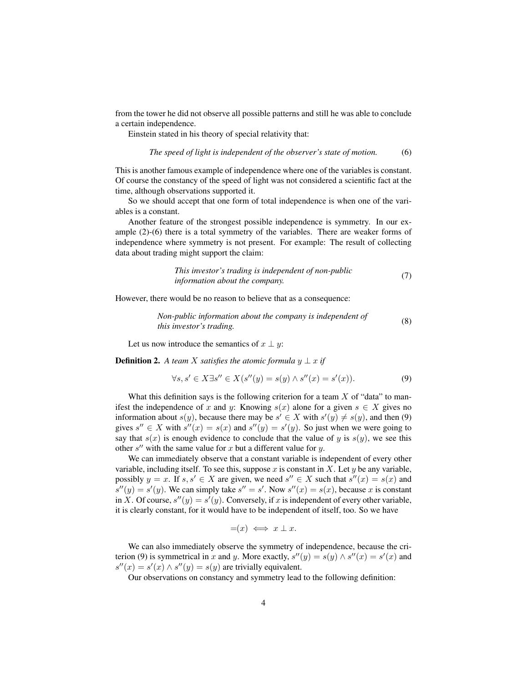from the tower he did not observe all possible patterns and still he was able to conclude a certain independence.

Einstein stated in his theory of special relativity that:

*The speed of light is independent of the observer's state of motion.* (6)

This is another famous example of independence where one of the variables is constant. Of course the constancy of the speed of light was not considered a scientific fact at the time, although observations supported it.

So we should accept that one form of total independence is when one of the variables is a constant.

Another feature of the strongest possible independence is symmetry. In our example (2)-(6) there is a total symmetry of the variables. There are weaker forms of independence where symmetry is not present. For example: The result of collecting data about trading might support the claim:

This investor's trading is independent of non-public information about the company.\n
$$
(7)
$$

However, there would be no reason to believe that as a consequence:

*Non-public information about the company is independent of this investor's trading.* (8) this *investor's trading.* 

Let us now introduce the semantics of  $x \perp y$ :

**Definition 2.** *A team X satisfies the atomic formula*  $y \perp x$  *if* 

$$
\forall s, s' \in X \exists s'' \in X(s''(y) = s(y) \land s''(x) = s'(x)).\tag{9}
$$

What this definition says is the following criterion for a team  $X$  of "data" to manifest the independence of x and y: Knowing  $s(x)$  alone for a given  $s \in X$  gives no information about  $s(y)$ , because there may be  $s' \in X$  with  $s'(y) \neq s(y)$ , and then (9) gives  $s'' \in X$  with  $s''(x) = s(x)$  and  $s''(y) = s'(y)$ . So just when we were going to say that  $s(x)$  is enough evidence to conclude that the value of y is  $s(y)$ , we see this other  $s''$  with the same value for x but a different value for y.

We can immediately observe that a constant variable is independent of every other variable, including itself. To see this, suppose x is constant in X. Let y be any variable, possibly  $y = x$ . If  $s, s' \in X$  are given, we need  $s'' \in X$  such that  $s''(x) = s(x)$  and  $s''(y) = s'(y)$ . We can simply take  $s'' = s'$ . Now  $s''(x) = s(x)$ , because x is constant in X. Of course,  $s''(y) = s'(y)$ . Conversely, if x is independent of every other variable, it is clearly constant, for it would have to be independent of itself, too. So we have

$$
=(x) \iff x \perp x.
$$

We can also immediately observe the symmetry of independence, because the criterion (9) is symmetrical in x and y. More exactly,  $s''(y) = s(y) \wedge s''(x) = s'(x)$  and  $s''(x) = s'(x) \wedge s''(y) = s(y)$  are trivially equivalent.

Our observations on constancy and symmetry lead to the following definition: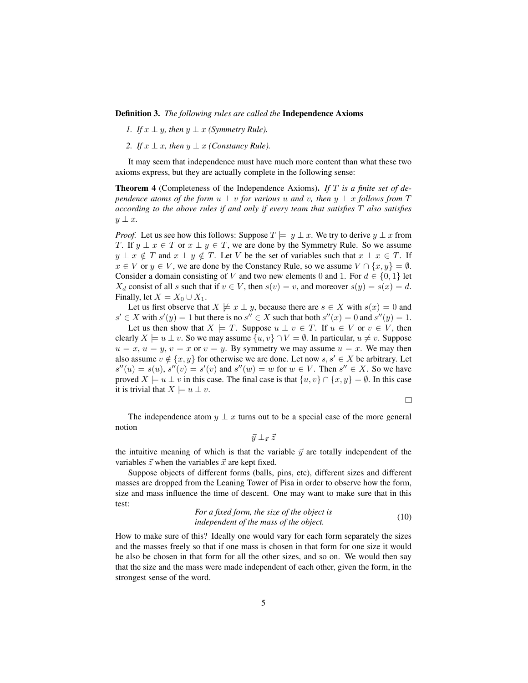Definition 3. *The following rules are called the* Independence Axioms

- *1. If*  $x \perp y$ *, then*  $y \perp x$  *(Symmetry Rule).*
- *2. If*  $x \perp x$ *, then*  $y \perp x$  *(Constancy Rule).*

It may seem that independence must have much more content than what these two axioms express, but they are actually complete in the following sense:

Theorem 4 (Completeness of the Independence Axioms). *If* T *is a finite set of dependence atoms of the form*  $u \perp v$  *for various*  $u$  *and*  $v$ *, then*  $y \perp x$  *follows from*  $T$ *according to the above rules if and only if every team that satisfies* T *also satisfies* y ⊥ x*.*

*Proof.* Let us see how this follows: Suppose  $T \models y \perp x$ . We try to derive  $y \perp x$  from T. If  $y \perp x \in T$  or  $x \perp y \in T$ , we are done by the Symmetry Rule. So we assume  $y \perp x \notin T$  and  $x \perp y \notin T$ . Let V be the set of variables such that  $x \perp x \in T$ . If  $x \in V$  or  $y \in V$ , we are done by the Constancy Rule, so we assume  $V \cap \{x, y\} = \emptyset$ . Consider a domain consisting of V and two new elements 0 and 1. For  $d \in \{0, 1\}$  let  $X_d$  consist of all s such that if  $v \in V$ , then  $s(v) = v$ , and moreover  $s(y) = s(x) = d$ . Finally, let  $X = X_0 \cup X_1$ .

Let us first observe that  $X \not\models x \perp y$ , because there are  $s \in X$  with  $s(x) = 0$  and  $s' \in X$  with  $s'(y) = 1$  but there is no  $s'' \in X$  such that both  $s''(x) = 0$  and  $s''(y) = 1$ .

Let us then show that  $X \models T$ . Suppose  $u \perp v \in T$ . If  $u \in V$  or  $v \in V$ , then clearly  $X \models u \perp v$ . So we may assume  $\{u, v\} \cap V = \emptyset$ . In particular,  $u \neq v$ . Suppose  $u = x, u = y, v = x$  or  $v = y$ . By symmetry we may assume  $u = x$ . We may then also assume  $v \notin \{x, y\}$  for otherwise we are done. Let now  $s, s' \in X$  be arbitrary. Let  $s''(u) = s(u)$ ,  $s''(v) = s'(v)$  and  $s''(w) = w$  for  $w \in V$ . Then  $s'' \in X$ . So we have proved  $X \models u \perp v$  in this case. The final case is that  $\{u, v\} \cap \{x, y\} = \emptyset$ . In this case it is trivial that  $X \models u \perp v$ .

 $\Box$ 

The independence atom  $y \perp x$  turns out to be a special case of the more general notion

 $\vec{y} \perp_{\vec{x}} \vec{z}$ 

the intuitive meaning of which is that the variable  $\vec{y}$  are totally independent of the variables  $\vec{z}$  when the variables  $\vec{x}$  are kept fixed.

Suppose objects of different forms (balls, pins, etc), different sizes and different masses are dropped from the Leaning Tower of Pisa in order to observe how the form, size and mass influence the time of descent. One may want to make sure that in this test:

> *For a fixed form, the size of the object is independent of the mass of the object is* (10)

How to make sure of this? Ideally one would vary for each form separately the sizes and the masses freely so that if one mass is chosen in that form for one size it would be also be chosen in that form for all the other sizes, and so on. We would then say that the size and the mass were made independent of each other, given the form, in the strongest sense of the word.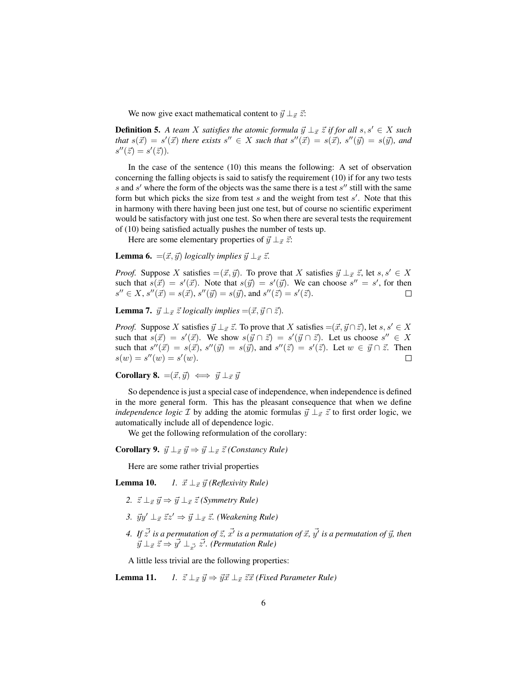We now give exact mathematical content to  $\vec{y} \perp_{\vec{x}} \vec{z}$ :

**Definition 5.** A team X satisfies the atomic formula  $\vec{y} \perp_{\vec{x}} \vec{z}$  if for all  $s, s' \in X$  such *that*  $s(\vec{x}) = s'(\vec{x})$  *there exists*  $s'' \in X$  *such that*  $s''(\vec{x}) = s(\vec{x})$ *,*  $s''(\vec{y}) = s(\vec{y})$ *, and*  $s''(\vec{z}) = s'(\vec{z})$ ).

In the case of the sentence (10) this means the following: A set of observation concerning the falling objects is said to satisfy the requirement (10) if for any two tests s and  $s'$  where the form of the objects was the same there is a test  $s''$  still with the same form but which picks the size from test  $s$  and the weight from test  $s'$ . Note that this in harmony with there having been just one test, but of course no scientific experiment would be satisfactory with just one test. So when there are several tests the requirement of (10) being satisfied actually pushes the number of tests up.

Here are some elementary properties of  $\vec{y} \perp_{\vec{x}} \vec{z}$ :

**Lemma 6.** = $(\vec{x}, \vec{y})$  *logically implies*  $\vec{y} \perp_{\vec{x}} \vec{z}$ .

*Proof.* Suppose X satisfies  $=(\vec{x}, \vec{y})$ . To prove that X satisfies  $\vec{y} \perp_{\vec{x}} \vec{z}$ , let  $s, s' \in X$ such that  $s(\vec{x}) = s'(\vec{x})$ . Note that  $s(\vec{y}) = s'(\vec{y})$ . We can choose  $s'' = s'$ , for then  $s'' \in X$ ,  $s''(\vec{x}) = s(\vec{x})$ ,  $s''(\vec{y}) = s(\vec{y})$ , and  $s''(\vec{z}) = s'(\vec{z})$ .  $\Box$ 

**Lemma 7.**  $\vec{y} \perp_{\vec{x}} \vec{z}$  *logically implies* =( $\vec{x}, \vec{y} \cap \vec{z}$ *).* 

*Proof.* Suppose X satisfies  $\vec{y} \perp_{\vec{x}} \vec{z}$ . To prove that X satisfies  $=(\vec{x}, \vec{y} \cap \vec{z})$ , let  $s, s' \in X$ such that  $s(\vec{x}) = s'(\vec{x})$ . We show  $s(\vec{y} \cap \vec{z}) = s'(\vec{y} \cap \vec{z})$ . Let us choose  $s'' \in X$ such that  $s''(\vec{x}) = s(\vec{x}), s''(\vec{y}) = s(\vec{y}),$  and  $s''(\vec{z}) = s'(\vec{z}).$  Let  $w \in \vec{y} \cap \vec{z}$ . Then  $s(w) = s''(w) = s'(w).$  $\Box$ 

Corollary 8.  $=(\vec{x}, \vec{y}) \iff \vec{y} \perp_{\vec{x}} \vec{y}$ 

So dependence is just a special case of independence, when independence is defined in the more general form. This has the pleasant consequence that when we define *independence logic*  $\mathcal I$  by adding the atomic formulas  $\vec{y} \perp_{\vec{x}} \vec{z}$  to first order logic, we automatically include all of dependence logic.

We get the following reformulation of the corollary:

**Corollary 9.**  $\vec{y} \perp_{\vec{x}} \vec{y} \Rightarrow \vec{y} \perp_{\vec{x}} \vec{z}$  *(Constancy Rule)* 

Here are some rather trivial properties

**Lemma 10.** *1.*  $\vec{x} \perp_{\vec{x}} \vec{y}$  *(Reflexivity Rule)* 

- 2.  $\vec{z} \perp_{\vec{r}} \vec{y} \Rightarrow \vec{y} \perp_{\vec{r}} \vec{z}$  *(Symmetry Rule)*
- *3.*  $\vec{y}y' \perp_{\vec{x}} \vec{z}z' \Rightarrow \vec{y} \perp_{\vec{x}} \vec{z}$ . (Weakening Rule)
- 4. If  $\vec{z'}$  is a permutation of  $\vec{z}$ ,  $\vec{x'}$  is a permutation of  $\vec{x}$ ,  $\vec{y'}$  is a permutation of  $\vec{y}$ , then  $\vec{y} \perp_{\vec{x}} \vec{z} \Rightarrow \vec{y'} \perp_{\vec{x'}} \vec{z'}$ . (Permutation Rule)

A little less trivial are the following properties:

**Lemma 11.** *1.*  $\vec{z} \perp_{\vec{x}} \vec{y} \Rightarrow \vec{y} \vec{x} \perp_{\vec{x}} \vec{z} \vec{x}$  *(Fixed Parameter Rule)*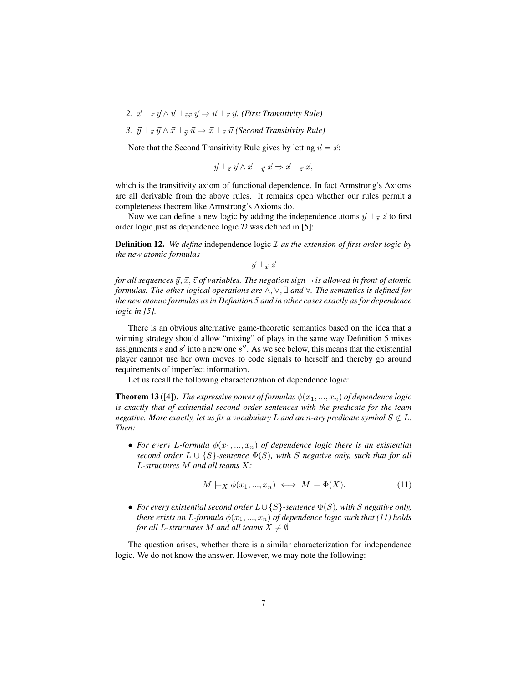- 2.  $\vec{x} \perp_{\vec{z}} \vec{y} \wedge \vec{u} \perp_{\vec{z}} \vec{x} \vec{y} \Rightarrow \vec{u} \perp_{\vec{z}} \vec{y}$ . *(First Transitivity Rule)*
- *3.*  $\vec{y} \perp_{\vec{z}} \vec{y} \wedge \vec{x} \perp_{\vec{y}} \vec{u} \Rightarrow \vec{x} \perp_{\vec{z}} \vec{u}$  *(Second Transitivity Rule)*

Note that the Second Transitivity Rule gives by letting  $\vec{u} = \vec{x}$ :

 $\vec{y} \perp_{\vec{z}} \vec{y} \wedge \vec{x} \perp_{\vec{y}} \vec{x} \Rightarrow \vec{x} \perp_{\vec{z}} \vec{x},$ 

which is the transitivity axiom of functional dependence. In fact Armstrong's Axioms are all derivable from the above rules. It remains open whether our rules permit a completeness theorem like Armstrong's Axioms do.

Now we can define a new logic by adding the independence atoms  $\vec{y} \perp_{\vec{x}} \vec{z}$  to first order logic just as dependence logic  $D$  was defined in [5]:

Definition 12. *We define* independence logic I *as the extension of first order logic by the new atomic formulas*

 $\vec{y} \perp_{\vec{r}} \vec{z}$ 

*for all sequences*  $\vec{y}, \vec{x}, \vec{z}$  *of variables. The negation sign*  $\neg$  *is allowed in front of atomic formulas. The other logical operations are* ∧, ∨, ∃ *and* ∀*. The semantics is defined for the new atomic formulas as in Definition 5 and in other cases exactly as for dependence logic in [5].*

There is an obvious alternative game-theoretic semantics based on the idea that a winning strategy should allow "mixing" of plays in the same way Definition 5 mixes assignments  $s$  and  $s'$  into a new one  $s''$ . As we see below, this means that the existential player cannot use her own moves to code signals to herself and thereby go around requirements of imperfect information.

Let us recall the following characterization of dependence logic:

**Theorem 13** ([4]). *The expressive power of formulas*  $\phi(x_1, ..., x_n)$  *of dependence logic is exactly that of existential second order sentences with the predicate for the team negative. More exactly, let us fix a vocabulary* L *and an n*-ary predicate symbol  $S \notin L$ *. Then:*

• *For every L-formula*  $\phi(x_1, ..., x_n)$  *of dependence logic there is an existential second order*  $L \cup \{S\}$ -sentence  $\Phi(S)$ , with S negative only, such that for all L*-structures* M *and all teams* X*:*

$$
M \models_X \phi(x_1, \dots, x_n) \iff M \models \Phi(X). \tag{11}
$$

• *For every existential second order* L∪ {S}*-sentence* Φ(S)*, with* S *negative only, there exists an L-formula*  $\phi(x_1, ..., x_n)$  *of dependence logic such that (11) holds for all L-structures* M *and all teams*  $X \neq \emptyset$ *.* 

The question arises, whether there is a similar characterization for independence logic. We do not know the answer. However, we may note the following: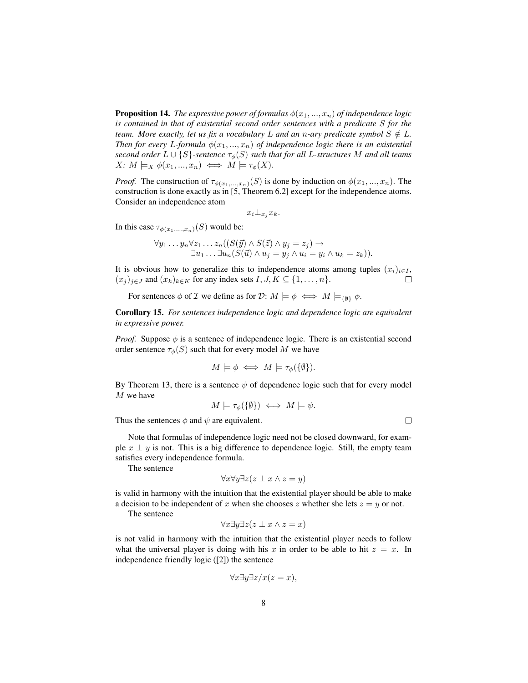**Proposition 14.** *The expressive power of formulas*  $\phi(x_1, ..., x_n)$  *of independence logic is contained in that of existential second order sentences with a predicate* S *for the team. More exactly, let us fix a vocabulary* L *and an n*-ary predicate symbol  $S \notin L$ *. Then for every L-formula*  $\phi(x_1, ..., x_n)$  *of independence logic there is an existential second order*  $L \cup \{S\}$ -sentence  $\tau_{\phi}(S)$  *such that for all L-structures* M *and all teams*  $X: M \models_X \phi(x_1, ..., x_n) \iff M \models \tau_\phi(X).$ 

*Proof.* The construction of  $\tau_{\phi(x_1,...,x_n)}(S)$  is done by induction on  $\phi(x_1,...,x_n)$ . The construction is done exactly as in [5, Theorem 6.2] except for the independence atoms. Consider an independence atom

$$
x_i \bot_{x_j} x_k.
$$

In this case  $\tau_{\phi(x_1,...,x_n)}(S)$  would be:

$$
\forall y_1 \dots y_n \forall z_1 \dots z_n ((S(\vec{y}) \land S(\vec{z}) \land y_j = z_j) \rightarrow \exists u_1 \dots \exists u_n (S(\vec{u}) \land u_j = y_j \land u_i = y_i \land u_k = z_k)).
$$

It is obvious how to generalize this to independence atoms among tuples  $(x_i)_{i \in I}$ ,  $(x_j)_{j\in J}$  and  $(x_k)_{k\in K}$  for any index sets  $I, J, K \subseteq \{1, \ldots, n\}.$  $\Box$ 

For sentences  $\phi$  of *I* we define as for *D*:  $M \models \phi \iff M \models_{\{\emptyset\}} \phi$ .

Corollary 15. *For sentences independence logic and dependence logic are equivalent in expressive power.*

*Proof.* Suppose  $\phi$  is a sentence of independence logic. There is an existential second order sentence  $\tau_{\phi}(S)$  such that for every model M we have

$$
M \models \phi \iff M \models \tau_{\phi}(\{\emptyset\}).
$$

By Theorem 13, there is a sentence  $\psi$  of dependence logic such that for every model M we have

$$
M \models \tau_{\phi}(\{\emptyset\}) \iff M \models \psi.
$$

Thus the sentences  $\phi$  and  $\psi$  are equivalent.

Note that formulas of independence logic need not be closed downward, for example  $x \perp y$  is not. This is a big difference to dependence logic. Still, the empty team satisfies every independence formula.

The sentence

$$
\forall x \forall y \exists z (z \perp x \land z = y)
$$

is valid in harmony with the intuition that the existential player should be able to make a decision to be independent of x when she chooses z whether she lets  $z = y$  or not.

The sentence

$$
\forall x \exists y \exists z (z \perp x \land z = x)
$$

is not valid in harmony with the intuition that the existential player needs to follow what the universal player is doing with his x in order to be able to hit  $z = x$ . In independence friendly logic ([2]) the sentence

$$
\forall x \exists y \exists z / x (z = x),
$$

 $\Box$